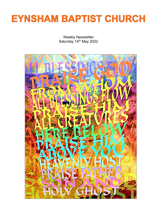# **EYNSHAM BAPTIST CHURCH**

Weekly Newsletter Saturday 14<sup>th</sup> May 2022

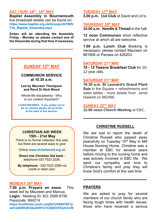#### **SAT / SUN 14th - 15th MAY**

**Baptist Assembly in Bournemouth** live broadcast details can be found on: **[https://www.baptist.org.uk/Groups/247895/](https://www.baptist.org.uk/Groups/247895/The_Baptist_Assembly.aspx) [The\\_Baptist\\_Assembly.aspx](https://www.baptist.org.uk/Groups/247895/The_Baptist_Assembly.aspx)**

**Zoltan will be attending the Assembly Friday - Monday so please contact one of the Diaconate during that time if necessary.**

**\_\_\_\_\_\_\_\_\_\_\_\_\_\_\_\_\_\_\_\_\_\_\_\_\_\_\_\_\_\_\_**

# **SUNDAY 15th MAY**

#### **COMMUNION SERVICE at 10.30 a.m.**

#### **Led by Maureen Thompson and Revd Dr Nick Wood**

Whole-life discipleship - Why Is our context important?

**LIVESTREAMED. If you prefer not to be on camera please let us know at the start of the service.**

# **TUESDAY 17th MAY**

**3.00 p.m. 114 Club** at David and Lin's.

#### **THURSDAY 19th MAY**

**10.00 a.m. Needle & Thread** in the hall.

**12 noon Communion** short reflective service at which all are welcome.

**1.00 p.m. Lunch Club** Booking is necessary: please contact Maureen on 881808 or Pamela on 426203.

#### **SATURDAY 21st MAY**

**10 - 12 Tweens Breakfast Club** for 10- 12 year olds.

#### **SATURDAY 21st MAY**

**10.30 a.m. St Leonard's Grand Plant Sale** in the Square + refreshments and sales tables - more details from Janet Haskett on 882488.

#### **SUNDAY 22nd MAY**

**12.00 noon Church Meeting** at EBC**.**

**\_\_\_\_\_\_\_\_\_\_\_\_\_\_\_\_\_\_\_\_\_\_\_\_\_\_\_\_\_\_\_**

#### **CHRISTIAN AID WEEK 15th - 21st May**

There is no formal collection this year, but there are several ways to give:

Online **[www.christianaid.org.uk](http://www.christianaid.org.uk/)**

**Direct into Christian Aid bank** telephone 020 7523 2226.

**By telephone** - 020 7523 2269 via credit or debit card.

#### **MONDAY 16th MAY**

**7.00 p.m. Prayers on zoom**. This week led by Maureen and Marcus. **Login:** Meeting ID: 821 2089 8795 Passcode: 994274 **[https://us02web.zoom.us/j/82120898795?p](https://us02web.zoom.us/j/82120898795?pwd=ejN4RU8rSkpDRFlxYlJQbEhHUytlZz09) [wd=ejN4RU8rSkpDRFlxYlJQbEhHUytlZz09](https://us02web.zoom.us/j/82120898795?pwd=ejN4RU8rSkpDRFlxYlJQbEhHUytlZz09)**

## **CHRISTINE RUSSELL**

We are sad to report the death of Christine Russell who passed away peacefully on Tuesday 10<sup>th</sup> May in Mill House Nursing Home. Christine was a member at EBC for several years before moving to the nursing home and was actively involved in EBC life. We send our sympathy and love to Christine's family and pray they will know God's comfort at this sad time.

## **PRAYERS**

We are asked to pray for several members of our church family who are facing tough times with health issues: those who have received a serious

**\_\_\_\_\_\_\_\_\_\_\_\_\_\_\_\_\_\_\_\_\_\_\_\_\_\_\_\_\_\_\_**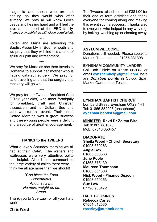diagnosis and those who are not healing as they would wish after surgery. We pray all will know God's peace and healing hand and will feel the love and support of the EBC family. *(names only published with given permission).*

\*\*\* Zoltan and Marta are attending the Baptist Assembly in Bournemouth and we pray that they will find this a time of spiritual uplift and refreshment**.**

**\*\*\*** We pray for Marta as she then travels to Romania to support her mother who is having cataract surgery. We pray for safe travelling and that the surgery and recovery will go well.

\*\*\*

We pray for our Tweens Breakfast Club (10-12 year olds) who meet fortnightly for breakfast, craft and Christian discussion, and for Zoltan, Sue and June who run this event. Their recent Coffee Morning was a great success and these young people were a delight and a source of great encouragement.

## **THANKS to the TWEENS**

**\_\_\_\_\_\_\_\_\_\_\_\_\_\_\_\_\_\_\_\_\_\_\_\_\_\_\_\_\_\_\_**

What a lovely Saturday morning we all had at their 'Cafe'. The waiters and waitresses were very attentive, polite and helpful. Also, I must comment on the large variety of cakes there were - I think we all ate more than we should!

> '*God bless the Food Superfluous, And may it put No more weight on us. Amen.*

Thank you to Sue Law for all your hard work.

**Chris Ward**

The Tweens raised a total of £381.00 for their end of term activities and thank everyone for coming along and making this event such a success. Thanks also to everyone who helped in any way e.g. by baking, washing up or clearing away. Ī

#### **ASYLUM WELCOME**

Donations still needed. Please speak to Marcus Thompson on 01865 881808.

**\_\_\_\_\_\_\_\_\_\_\_\_\_\_\_\_\_\_\_\_\_\_\_\_\_\_\_\_\_\_\_**

## **EYNSHAM COMMUNITY LARDER**

Call Bob Thiele on 07738 063083 or email **[eynshamhelp@gmail.com](mailto:eynshamhelp@gmail.com)**There are *Donation points* in Co-op, Spar, Market Garden and Tesco.

**\_\_\_\_\_\_\_\_\_\_\_\_\_\_\_\_\_\_\_\_\_\_\_\_\_\_\_\_\_\_\_**

# **EYNSHAM BAPTIST CHURCH**

Lombard Street, Eynsham OX29 4HT Tel: 01865 882203 (ansaphone) **eynsham.baptists@gmail.com** 

## **MINISTER Revd Dr Zoltan Biro** Tel: 01865 881670

Mob: 07846 653457

## **DIACONATE**

**Sheila Wood - Church Secretary** 01993 650263 **Angie Cox** 01865 880563 **June Poole** 01865 375130 **Maureen Thompson** 01865 881808 **Nick Wood - Finance Deacon** 01993 650263 **Sue Law** 07796 955472

## **HALL BOOKINGS**

**Rebecca Carley** 07554 012535 **rccarley@outlook.com**